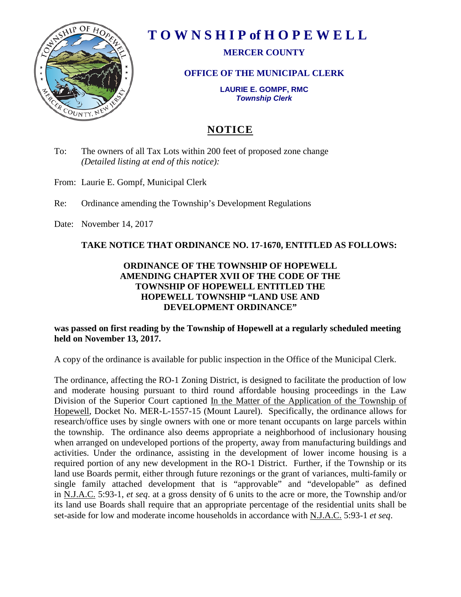

# **T O W N S H I P of H O P E W E L L**

## **MERCER COUNTY**

### **OFFICE OF THE MUNICIPAL CLERK**

**LAURIE E. GOMPF, RMC** *Township Clerk*

# **NOTICE**

To: The owners of all Tax Lots within 200 feet of proposed zone change *(Detailed listing at end of this notice):*

From: Laurie E. Gompf, Municipal Clerk

Re: Ordinance amending the Township's Development Regulations

Date: November 14, 2017

#### **TAKE NOTICE THAT ORDINANCE NO. 17-1670, ENTITLED AS FOLLOWS:**

#### **ORDINANCE OF THE TOWNSHIP OF HOPEWELL AMENDING CHAPTER XVII OF THE CODE OF THE TOWNSHIP OF HOPEWELL ENTITLED THE HOPEWELL TOWNSHIP "LAND USE AND DEVELOPMENT ORDINANCE"**

#### **was passed on first reading by the Township of Hopewell at a regularly scheduled meeting held on November 13, 2017.**

A copy of the ordinance is available for public inspection in the Office of the Municipal Clerk.

The ordinance, affecting the RO-1 Zoning District, is designed to facilitate the production of low and moderate housing pursuant to third round affordable housing proceedings in the Law Division of the Superior Court captioned In the Matter of the Application of the Township of Hopewell, Docket No. MER-L-1557-15 (Mount Laurel). Specifically, the ordinance allows for research/office uses by single owners with one or more tenant occupants on large parcels within the township. The ordinance also deems appropriate a neighborhood of inclusionary housing when arranged on undeveloped portions of the property, away from manufacturing buildings and activities. Under the ordinance, assisting in the development of lower income housing is a required portion of any new development in the RO-1 District. Further, if the Township or its land use Boards permit, either through future rezonings or the grant of variances, multi-family or single family attached development that is "approvable" and "developable" as defined in N.J.A.C. 5:93-1, *et seq*. at a gross density of 6 units to the acre or more, the Township and/or its land use Boards shall require that an appropriate percentage of the residential units shall be set-aside for low and moderate income households in accordance with N.J.A.C. 5:93-1 *et seq*.